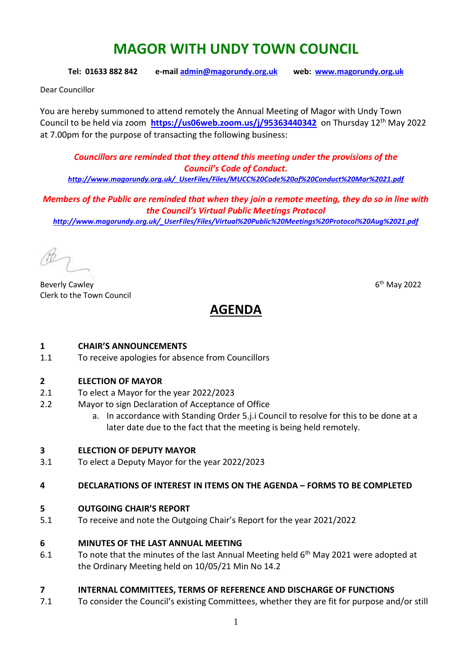# **MAGOR WITH UNDY TOWN COUNCIL**

**Tel: 01633 882 842 e-mai[l admin@magorundy.org.uk](mailto:admin@magorundy.org.uk) web: [www.magorundy.org.uk](http://www.magorundy.org.uk/)**

Dear Councillor

You are hereby summoned to attend remotely the Annual Meeting of Magor with Undy Town Council to be held via zoom lott <https://us06web.zoom.us/j/95363440342> on Thursday 12<sup>th</sup> May 2022 at 7.00pm for the purpose of transacting the following business:

*Councillors are reminded that they attend this meeting under the provisions of the Council's Code of Conduct. [http://www.magorundy.org.uk/\\_UserFiles/Files/MUCC%20Code%20of%20Conduct%20Mar%2021.pdf](http://www.magorundy.org.uk/_UserFiles/Files/MUCC%20Code%20of%20Conduct%20Mar%2021.pdf)*

*Members of the Public are reminded that when they join a remote meeting, they do so in line with* 

*the Council's Virtual Public Meetings Protocol [http://www.magorundy.org.uk/\\_UserFiles/Files/Virtual%20Public%20Meetings%20Protocol%20Aug%2021.pdf](http://www.magorundy.org.uk/_UserFiles/Files/Virtual%20Public%20Meetings%20Protocol%20Aug%2021.pdf)*

**Beverly Cawley** Clerk to the Town Council

 $6<sup>th</sup>$  May 2022

# **AGENDA**

#### **1 CHAIR'S ANNOUNCEMENTS**

1.1 To receive apologies for absence from Councillors

#### **2 ELECTION OF MAYOR**

- 2.1 To elect a Mayor for the year 2022/2023
- 2.2 Mayor to sign Declaration of Acceptance of Office
	- a. In accordance with Standing Order 5.j.i Council to resolve for this to be done at a later date due to the fact that the meeting is being held remotely.

## **3 ELECTION OF DEPUTY MAYOR**

3.1 To elect a Deputy Mayor for the year 2022/2023

#### **4 DECLARATIONS OF INTEREST IN ITEMS ON THE AGENDA – FORMS TO BE COMPLETED**

#### **5 OUTGOING CHAIR'S REPORT**

5.1 To receive and note the Outgoing Chair's Report for the year 2021/2022

#### **6 MINUTES OF THE LAST ANNUAL MEETING**

6.1 To note that the minutes of the last Annual Meeting held  $6<sup>th</sup>$  May 2021 were adopted at the Ordinary Meeting held on 10/05/21 Min No 14.2

## **7 INTERNAL COMMITTEES, TERMS OF REFERENCE AND DISCHARGE OF FUNCTIONS**

7.1 To consider the Council's existing Committees, whether they are fit for purpose and/or still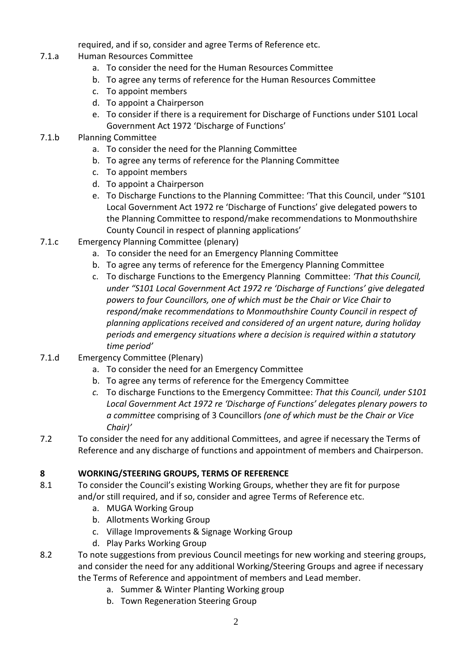required, and if so, consider and agree Terms of Reference etc.

- 7.1.a Human Resources Committee
	- a. To consider the need for the Human Resources Committee
	- b. To agree any terms of reference for the Human Resources Committee
	- c. To appoint members
	- d. To appoint a Chairperson
	- e. To consider if there is a requirement for Discharge of Functions under S101 Local Government Act 1972 'Discharge of Functions'

## 7.1.b Planning Committee

- a. To consider the need for the Planning Committee
- b. To agree any terms of reference for the Planning Committee
- c. To appoint members
- d. To appoint a Chairperson
- e. To Discharge Functions to the Planning Committee: 'That this Council, under "S101 Local Government Act 1972 re 'Discharge of Functions' give delegated powers to the Planning Committee to respond/make recommendations to Monmouthshire County Council in respect of planning applications'
- 7.1.c Emergency Planning Committee (plenary)
	- a. To consider the need for an Emergency Planning Committee
	- b. To agree any terms of reference for the Emergency Planning Committee
	- c. To discharge Functions to the Emergency Planning Committee: *'That this Council, under "S101 Local Government Act 1972 re 'Discharge of Functions' give delegated powers to four Councillors, one of which must be the Chair or Vice Chair to respond/make recommendations to Monmouthshire County Council in respect of planning applications received and considered of an urgent nature, during holiday periods and emergency situations where a decision is required within a statutory time period'*
- 7.1.d Emergency Committee (Plenary)
	- a. To consider the need for an Emergency Committee
	- b. To agree any terms of reference for the Emergency Committee
	- *c.* To discharge Functions to the Emergency Committee: *That this Council, under S101 Local Government Act 1972 re 'Discharge of Functions' delegates plenary powers to a committee* comprising of 3 Councillors *(one of which must be the Chair or Vice Chair)'*
- 7.2 To consider the need for any additional Committees, and agree if necessary the Terms of Reference and any discharge of functions and appointment of members and Chairperson.

## **8 WORKING/STEERING GROUPS, TERMS OF REFERENCE**

- 8.1 To consider the Council's existing Working Groups, whether they are fit for purpose and/or still required, and if so, consider and agree Terms of Reference etc.
	- a. MUGA Working Group
	- b. Allotments Working Group
	- c. Village Improvements & Signage Working Group
	- d. Play Parks Working Group
- 8.2 To note suggestions from previous Council meetings for new working and steering groups, and consider the need for any additional Working/Steering Groups and agree if necessary the Terms of Reference and appointment of members and Lead member.
	- a. Summer & Winter Planting Working group
	- b. Town Regeneration Steering Group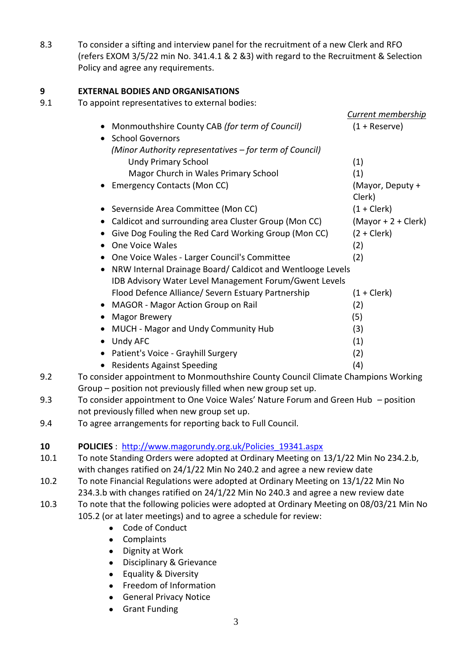8.3 To consider a sifting and interview panel for the recruitment of a new Clerk and RFO (refers EXOM 3/5/22 min No. 341.4.1 & 2 &3) with regard to the Recruitment & Selection Policy and agree any requirements.

## **9 EXTERNAL BODIES AND ORGANISATIONS**

9.1 To appoint representatives to external bodies:

|                                                             | <b>Current membership</b>  |
|-------------------------------------------------------------|----------------------------|
| Monmouthshire County CAB (for term of Council)<br>$\bullet$ | $(1 +$ Reserve)            |
| <b>School Governors</b>                                     |                            |
| (Minor Authority representatives – for term of Council)     |                            |
| <b>Undy Primary School</b>                                  | (1)                        |
| Magor Church in Wales Primary School                        | (1)                        |
| <b>Emergency Contacts (Mon CC)</b>                          | (Mayor, Deputy +<br>Clerk) |
| Severnside Area Committee (Mon CC)                          | $(1 + \text{Clerk})$       |
| Caldicot and surrounding area Cluster Group (Mon CC)        | $(Mayor + 2 + Clerk)$      |
| Give Dog Fouling the Red Card Working Group (Mon CC)        | $(2 + Clerk)$              |
| One Voice Wales                                             | (2)                        |
| One Voice Wales - Larger Council's Committee                | (2)                        |
| NRW Internal Drainage Board/ Caldicot and Wentlooge Levels  |                            |
| IDB Advisory Water Level Management Forum/Gwent Levels      |                            |
| Flood Defence Alliance/ Severn Estuary Partnership          | $(1 + \text{Clerk})$       |
| <b>MAGOR - Magor Action Group on Rail</b>                   | (2)                        |
| <b>Magor Brewery</b>                                        | (5)                        |
| MUCH - Magor and Undy Community Hub                         | (3)                        |
| Undy AFC<br>$\bullet$                                       | (1)                        |
| Patient's Voice - Grayhill Surgery                          | (2)                        |
| <b>Residents Against Speeding</b>                           | (4)                        |
|                                                             |                            |

- 9.2 To consider appointment to Monmouthshire County Council Climate Champions Working Group – position not previously filled when new group set up.
- 9.3 To consider appointment to One Voice Wales' Nature Forum and Green Hub position not previously filled when new group set up.
- 9.4 To agree arrangements for reporting back to Full Council.

# **10 POLICIES** : [http://www.magorundy.org.uk/Policies\\_19341.aspx](http://www.magorundy.org.uk/Policies_19341.aspx)

- 10.1 To note Standing Orders were adopted at Ordinary Meeting on 13/1/22 Min No 234.2.b, with changes ratified on 24/1/22 Min No 240.2 and agree a new review date
- 10.2 To note Financial Regulations were adopted at Ordinary Meeting on 13/1/22 Min No 234.3.b with changes ratified on 24/1/22 Min No 240.3 and agree a new review date
- 10.3 To note that the following policies were adopted at Ordinary Meeting on 08/03/21 Min No 105.2 (or at later meetings) and to agree a schedule for review:
	- Code of Conduct
	- Complaints
	- Dignity at Work
	- Disciplinary & Grievance
	- Equality & Diversity
	- Freedom of Information
	- General Privacy Notice
	- Grant Funding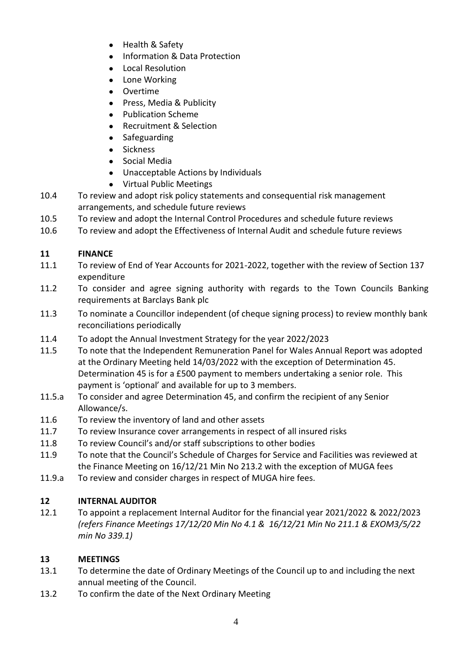- Health & Safety
- Information & Data Protection
- Local Resolution
- Lone Working
- **•** Overtime
- Press, Media & Publicity
- Publication Scheme
- Recruitment & Selection
- Safeguarding
- Sickness
- Social Media
- Unacceptable Actions by Individuals
- Virtual Public Meetings
- 10.4 To review and adopt risk policy statements and consequential risk management arrangements, and schedule future reviews
- 10.5 To review and adopt the Internal Control Procedures and schedule future reviews
- 10.6 To review and adopt the Effectiveness of Internal Audit and schedule future reviews

# **11 FINANCE**

- 11.1 To review of End of Year Accounts for 2021-2022, together with the review of Section 137 expenditure
- 11.2 To consider and agree signing authority with regards to the Town Councils Banking requirements at Barclays Bank plc
- 11.3 To nominate a Councillor independent (of cheque signing process) to review monthly bank reconciliations periodically
- 11.4 To adopt the Annual Investment Strategy for the year 2022/2023
- 11.5 To note that the Independent Remuneration Panel for Wales Annual Report was adopted at the Ordinary Meeting held 14/03/2022 with the exception of Determination 45. Determination 45 is for a £500 payment to members undertaking a senior role. This payment is 'optional' and available for up to 3 members.
- 11.5.a To consider and agree Determination 45, and confirm the recipient of any Senior Allowance/s.
- 11.6 To review the inventory of land and other assets
- 11.7 To review Insurance cover arrangements in respect of all insured risks
- 11.8 To review Council's and/or staff subscriptions to other bodies
- 11.9 To note that the Council's Schedule of Charges for Service and Facilities was reviewed at the Finance Meeting on 16/12/21 Min No 213.2 with the exception of MUGA fees
- 11.9.a To review and consider charges in respect of MUGA hire fees.

# **12 INTERNAL AUDITOR**

12.1 To appoint a replacement Internal Auditor for the financial year 2021/2022 & 2022/2023 *(refers Finance Meetings 17/12/20 Min No 4.1 & 16/12/21 Min No 211.1 & EXOM3/5/22 min No 339.1)*

# **13 MEETINGS**

- 13.1 To determine the date of Ordinary Meetings of the Council up to and including the next annual meeting of the Council.
- 13.2 To confirm the date of the Next Ordinary Meeting